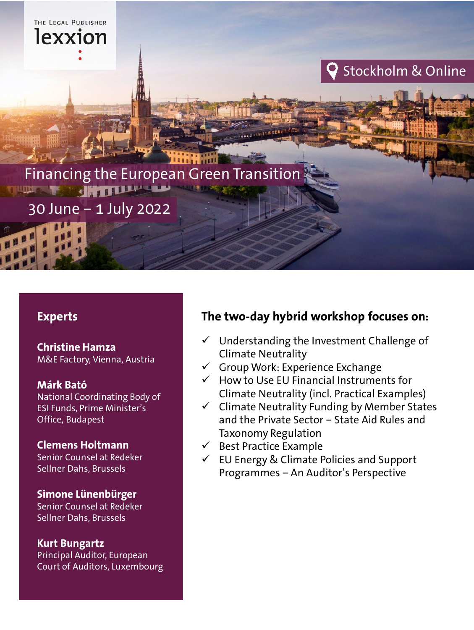

#### **Experts**

**Christine Hamza** M&E Factory, Vienna, Austria

**Márk Bató** National Coordinating Body of ESI Funds, Prime Minister's Office, Budapest

#### **Clemens Holtmann**

Senior Counsel at Redeker Sellner Dahs, Brussels

**Simone Lünenbürger** Senior Counsel at Redeker Sellner Dahs, Brussels

**Kurt Bungartz**

Principal Auditor, European Court of Auditors, Luxembourg

### **The two-day hybrid workshop focuses on:**

- $\checkmark$  Understanding the Investment Challenge of Climate Neutrality
- $\checkmark$  Group Work: Experience Exchange
- $\checkmark$  How to Use EU Financial Instruments for Climate Neutrality (incl. Practical Examples)
- $\checkmark$  Climate Neutrality Funding by Member States and the Private Sector – State Aid Rules and Taxonomy Regulation
- $\checkmark$  Best Practice Example
- $\checkmark$  EU Energy & Climate Policies and Support Programmes – An Auditor's Perspective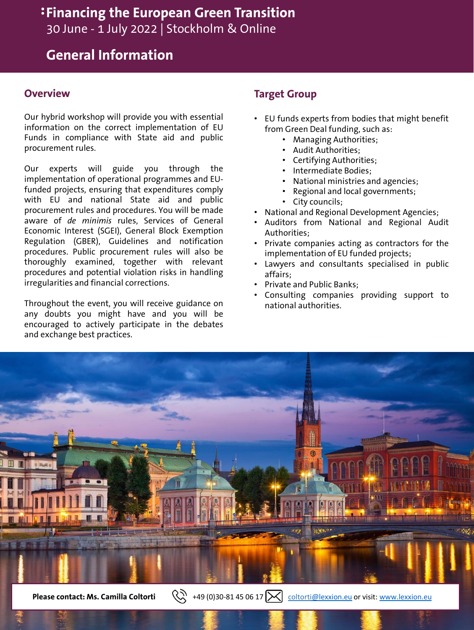### **Financing the European Green Transition**

30 June - 1 July 2022 | Stockholm & Online

### **General Information**

#### **Overview**

Our hybrid workshop will provide you with essential information on the correct implementation of EU Funds in compliance with State aid and public procurement rules.

Our experts will guide you through the implementation of operational programmes and EUfunded projects, ensuring that expenditures comply with EU and national State aid and public procurement rules and procedures. You will be made aware of *de minimis* rules, Services of General Economic Interest (SGEI), General Block Exemption Regulation (GBER), Guidelines and notification procedures. Public procurement rules will also be thoroughly examined, together with relevant procedures and potential violation risks in handling irregularities and financial corrections.

Throughout the event, you will receive guidance on any doubts you might have and you will be encouraged to actively participate in the debates and exchange best practices.

#### **Target Group**

- EU funds experts from bodies that might benefit from Green Deal funding, such as:
	- Managing Authorities;
	- Audit Authorities;
	- Certifying Authorities;
	- Intermediate Bodies;
	- National ministries and agencies;
	- Regional and local governments;
	- City councils;
- National and Regional Development Agencies;
- Auditors from National and Regional Audit Authorities;
- Private companies acting as contractors for the implementation of EU funded projects;
- Lawyers and consultants specialised in public affairs;
- Private and Public Banks;
- Consulting companies providing support to national authorities.



**Please contact: Ms. Camilla Coltorti**  $\left(\begin{matrix} 1 & 0 \\ 0 & 0 \end{matrix}\right)$  +49 (0)30-81 45 06 17  $\left[\begin{matrix} 1 & 0 \\ 0 & 1 \end{matrix}\right]$  coltort[i@lexxion.eu](mailto:coltorti@lexxion.eu) or visit: [www.lexxion.eu](http://www.lexxion.eu/)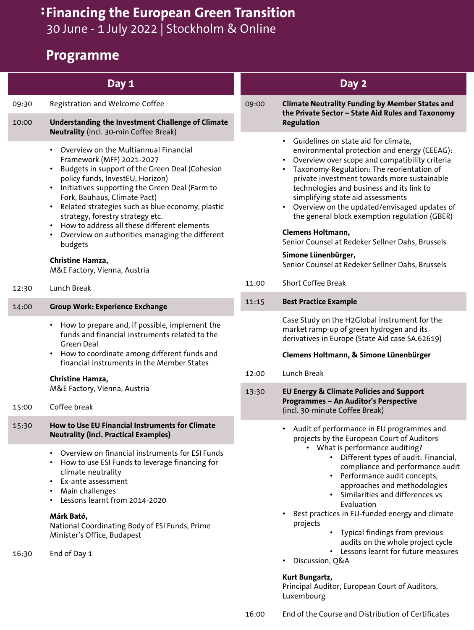# **Financing the European Green Transition**

30 June - 1 July 2022 | Stockholm & Online

### **Programme**

|       | Day 1                                                                                                                                                                                                                                                                                                                                                                                                                                                                                                                                     |       | Day 2                                                                                                                                                                                                                                                                                                                                                                                                                                                                                                                                                                                               |
|-------|-------------------------------------------------------------------------------------------------------------------------------------------------------------------------------------------------------------------------------------------------------------------------------------------------------------------------------------------------------------------------------------------------------------------------------------------------------------------------------------------------------------------------------------------|-------|-----------------------------------------------------------------------------------------------------------------------------------------------------------------------------------------------------------------------------------------------------------------------------------------------------------------------------------------------------------------------------------------------------------------------------------------------------------------------------------------------------------------------------------------------------------------------------------------------------|
| 09:30 | Registration and Welcome Coffee                                                                                                                                                                                                                                                                                                                                                                                                                                                                                                           | 09:00 | <b>Climate Neutrality Funding by Member States and</b><br>the Private Sector - State Aid Rules and Taxonomy                                                                                                                                                                                                                                                                                                                                                                                                                                                                                         |
| 10:00 | Understanding the Investment Challenge of Climate<br>Neutrality (incl. 30-min Coffee Break)                                                                                                                                                                                                                                                                                                                                                                                                                                               |       | <b>Regulation</b>                                                                                                                                                                                                                                                                                                                                                                                                                                                                                                                                                                                   |
|       | Overview on the Multiannual Financial<br>Framework (MFF) 2021-2027<br>Budgets in support of the Green Deal (Cohesion<br>$\bullet$<br>policy funds, InvestEU, Horizon)<br>Initiatives supporting the Green Deal (Farm to<br>$\bullet$<br>Fork, Bauhaus, Climate Pact)<br>Related strategies such as blue economy, plastic<br>$\bullet$<br>strategy, forestry strategy etc.<br>How to address all these different elements<br>Overview on authorities managing the different<br>budgets<br>Christine Hamza,<br>M&E Factory, Vienna, Austria |       | Guidelines on state aid for climate,<br>environmental protection and energy (CEEAG):<br>Overview over scope and compatibility criteria<br>Taxonomy-Regulation: The reorientation of<br>$\bullet$<br>private investment towards more sustainable<br>technologies and business and its link to<br>simplifying state aid assessments<br>Overview on the updated/envisaged updates of<br>$\bullet$<br>the general block exemption regulation (GBER)<br>Clemens Holtmann,<br>Senior Counsel at Redeker Sellner Dahs, Brussels<br>Simone Lünenbürger,<br>Senior Counsel at Redeker Sellner Dahs, Brussels |
| 12:30 | Lunch Break                                                                                                                                                                                                                                                                                                                                                                                                                                                                                                                               | 11:00 | <b>Short Coffee Break</b>                                                                                                                                                                                                                                                                                                                                                                                                                                                                                                                                                                           |
| 14:00 | <b>Group Work: Experience Exchange</b>                                                                                                                                                                                                                                                                                                                                                                                                                                                                                                    | 11:15 | <b>Best Practice Example</b>                                                                                                                                                                                                                                                                                                                                                                                                                                                                                                                                                                        |
|       | How to prepare and, if possible, implement the<br>$\bullet$<br>funds and financial instruments related to the<br>Green Deal<br>How to coordinate among different funds and<br>$\bullet$<br>financial instruments in the Member States<br>Christine Hamza,                                                                                                                                                                                                                                                                                 | 12:00 | Case Study on the H2Global instrument for the<br>market ramp-up of green hydrogen and its<br>derivatives in Europe (State Aid case SA.62619)<br>Clemens Holtmann, & Simone Lünenbürger<br>Lunch Break                                                                                                                                                                                                                                                                                                                                                                                               |
| 15:00 | M&E Factory, Vienna, Austria<br>Coffee break                                                                                                                                                                                                                                                                                                                                                                                                                                                                                              | 13:30 | <b>EU Energy &amp; Climate Policies and Support</b><br>Programmes - An Auditor's Perspective<br>(incl. 30-minute Coffee Break)                                                                                                                                                                                                                                                                                                                                                                                                                                                                      |
| 15:30 | How to Use EU Financial Instruments for Climate<br><b>Neutrality (incl. Practical Examples)</b>                                                                                                                                                                                                                                                                                                                                                                                                                                           |       | Audit of performance in EU programmes and<br>projects by the European Court of Auditors                                                                                                                                                                                                                                                                                                                                                                                                                                                                                                             |
| 16:30 | Overview on financial instruments for ESI Funds<br>$\bullet$<br>How to use ESI Funds to leverage financing for<br>climate neutrality<br>Ex-ante assessment<br>$\bullet$<br>Main challenges<br>Lessons learnt from 2014-2020<br>Márk Bató,<br>National Coordinating Body of ESI Funds, Prime<br>Minister's Office, Budapest<br>End of Day 1                                                                                                                                                                                                |       | • What is performance auditing?<br>Different types of audit: Financial,<br>compliance and performance audit<br>Performance audit concepts,<br>$\bullet$<br>approaches and methodologies<br>Similarities and differences vs<br>$\bullet$<br>Evaluation<br>Best practices in EU-funded energy and climate<br>projects<br>Typical findings from previous<br>audits on the whole project cycle<br>Lessons learnt for future measures<br>$\bullet$<br>Discussion, Q&A                                                                                                                                    |
|       |                                                                                                                                                                                                                                                                                                                                                                                                                                                                                                                                           |       | Kurt Bungartz,                                                                                                                                                                                                                                                                                                                                                                                                                                                                                                                                                                                      |

Luxembourg

Principal Auditor, European Court of Auditors,